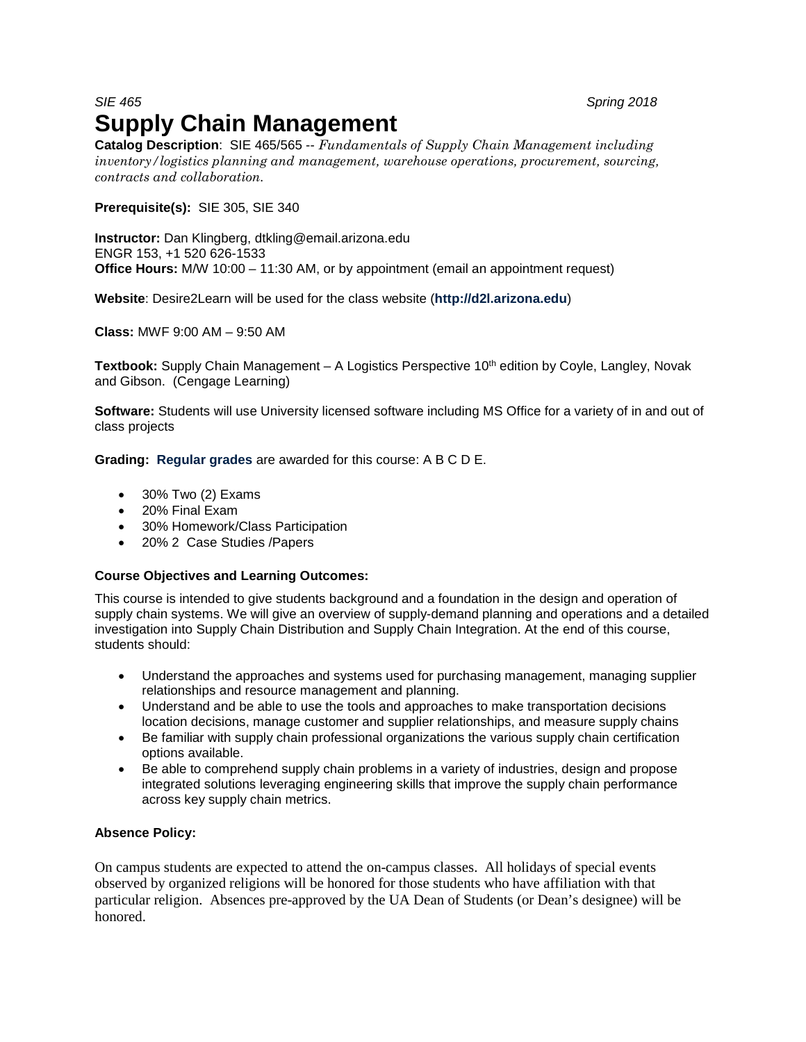# *SIE 465 Spring 2018* **Supply Chain Management**

**Catalog Description**: SIE 465/565 -- *Fundamentals of Supply Chain Management including inventory/logistics planning and management, warehouse operations, procurement, sourcing, contracts and collaboration.*

**Prerequisite(s):** SIE 305, SIE 340

**Instructor:** Dan Klingberg, dtkling@email.arizona.edu ENGR 153, +1 520 626-1533 **Office Hours:** M/W 10:00 – 11:30 AM, or by appointment (email an appointment request)

**Website**: Desire2Learn will be used for the class website (**[http://d2l.arizona.edu](http://d2l.arizona.edu/)**)

**Class:** MWF 9:00 AM – 9:50 AM

**Textbook:** Supply Chain Management – A Logistics Perspective 10<sup>th</sup> edition by Coyle, Langley, Novak and Gibson. (Cengage Learning)

**Software:** Students will use University licensed software including MS Office for a variety of in and out of class projects

**Grading: [Regular](http://catalog.arizona.edu/2004-05/policies/grade.htm#regular) grades** are awarded for this course: A B C D E.

- 30% Two (2) Exams
- 20% Final Exam
- 30% Homework/Class Participation
- 20% 2 Case Studies /Papers

#### **Course Objectives and Learning Outcomes:**

This course is intended to give students background and a foundation in the design and operation of supply chain systems. We will give an overview of supply-demand planning and operations and a detailed investigation into Supply Chain Distribution and Supply Chain Integration. At the end of this course, students should:

- Understand the approaches and systems used for purchasing management, managing supplier relationships and resource management and planning.
- Understand and be able to use the tools and approaches to make transportation decisions location decisions, manage customer and supplier relationships, and measure supply chains
- Be familiar with supply chain professional organizations the various supply chain certification options available.
- Be able to comprehend supply chain problems in a variety of industries, design and propose integrated solutions leveraging engineering skills that improve the supply chain performance across key supply chain metrics.

# **Absence Policy:**

On campus students are expected to attend the on-campus classes. All holidays of special events observed by organized religions will be honored for those students who have affiliation with that particular religion. Absences pre-approved by the UA Dean of Students (or Dean's designee) will be honored.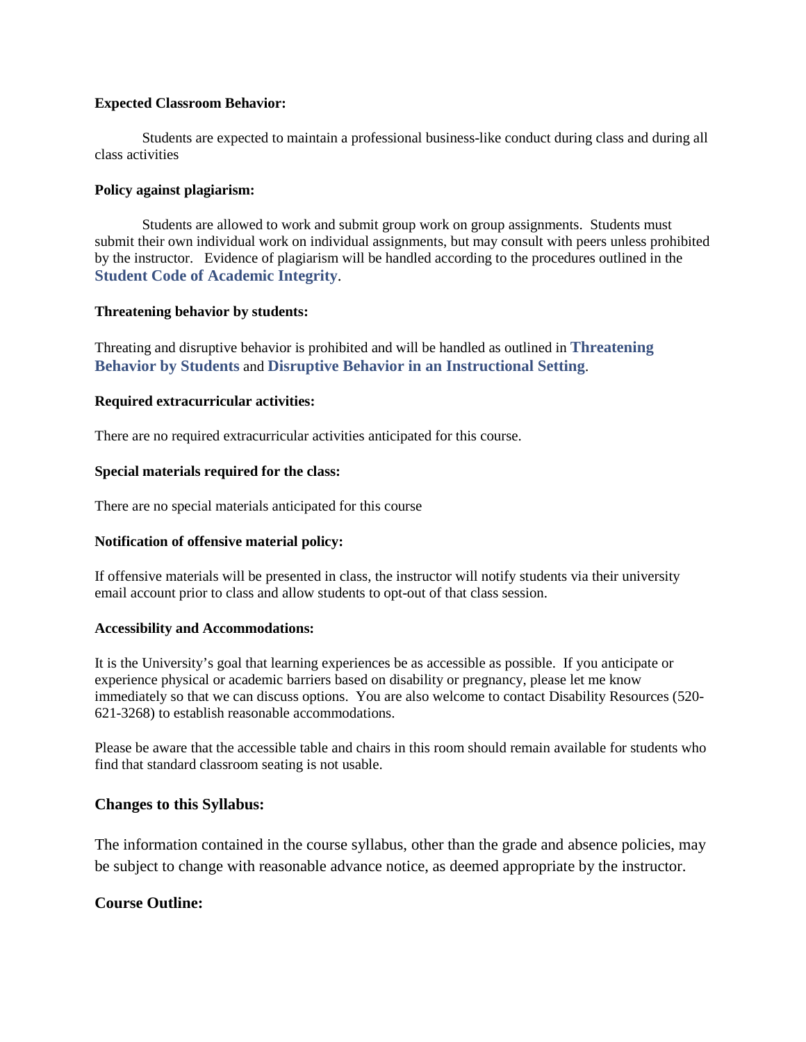# **Expected Classroom Behavior:**

Students are expected to maintain a professional business-like conduct during class and during all class activities

## **Policy against plagiarism:**

Students are allowed to work and submit group work on group assignments. Students must submit their own individual work on individual assignments, but may consult with peers unless prohibited by the instructor. Evidence of plagiarism will be handled according to the procedures outlined in the **[Student Code of Academic Integrity](http://deanofstudents.arizona.edu/codeofacademicintegrity)**.

## **Threatening behavior by students:**

Threating and disruptive behavior is prohibited and will be handled as outlined in **[Threatening](http://policy.arizona.edu/education-and-student-affairs/threatening-behavior-students)  [Behavior by Students](http://policy.arizona.edu/education-and-student-affairs/threatening-behavior-students)** and **[Disruptive Behavior in an Instructional Setting](http://policy.arizona.edu/education-and-student-affairs/disruptive-behavior-instructional-setting)**.

## **Required extracurricular activities:**

There are no required extracurricular activities anticipated for this course.

## **Special materials required for the class:**

There are no special materials anticipated for this course

# **Notification of offensive material policy:**

If offensive materials will be presented in class, the instructor will notify students via their university email account prior to class and allow students to opt-out of that class session.

#### **Accessibility and Accommodations:**

It is the University's goal that learning experiences be as accessible as possible. If you anticipate or experience physical or academic barriers based on disability or pregnancy, please let me know immediately so that we can discuss options. You are also welcome to contact Disability Resources (520- 621-3268) to establish reasonable accommodations.

Please be aware that the accessible table and chairs in this room should remain available for students who find that standard classroom seating is not usable.

# **Changes to this Syllabus:**

The information contained in the course syllabus, other than the grade and absence policies, may be subject to change with reasonable advance notice, as deemed appropriate by the instructor.

# **Course Outline:**